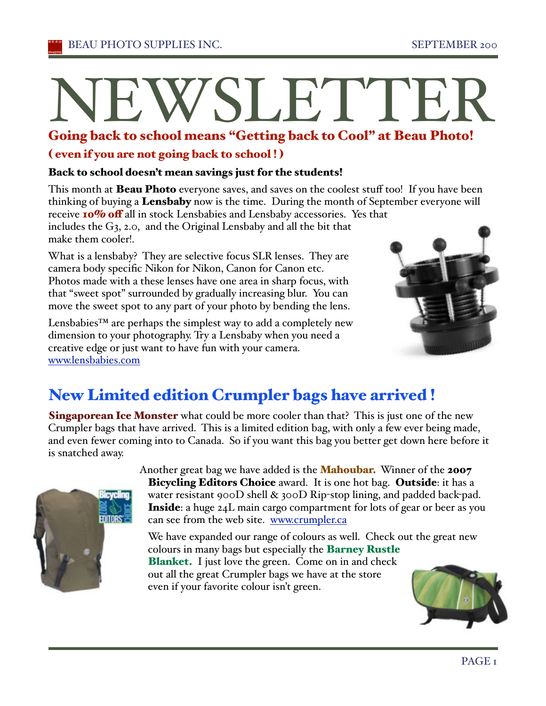# Going back to school means "Getting back to Cool" at Beau Photo! WSLETT

### ( even if you are not going back to school ! )

### Back to school doesn't mean savings just for the students!

This month at **Beau Photo** everyone saves, and saves on the coolest stuff too! If you have been thinking of buying a Lensbaby now is the time. During the month of September everyone will receive 10% off all in stock Lensbabies and Lensbaby accessories. Yes that includes the G3, 2.0, and the Original Lensbaby and all the bit that make them cooler!.

What is a lensbaby? They are selective focus SLR lenses. They are camera body specific Nikon for Nikon, Canon for Canon etc. Photos made with a these lenses have one area in sharp focus, with that "sweet spot" surrounded by gradually increasing blur. You can move the sweet spot to any part of your photo by bending the lens.

Lensbabies™ are perhaps the simplest way to add a completely new dimension to your photography. Try a Lensbaby when you need a creative edge or just want to have fun with your camera. www.lensbabies.com



# New Limited edition Crumpler bags have arrived !

**Singaporean Ice Monster** what could be more cooler than that? This is just one of the new Crumpler bags that have arrived. This is a limited edition bag, with only a few ever being made, and even fewer coming into to Canada. So if you want this bag you better get down here before it is snatched away.



Another great bag we have added is the **Mahoubar.** Winner of the **2007 Bicycling Editors Choice** award. It is one hot bag. Outside: it has a water resistant 900D shell & 300D Rip-stop lining, and padded back-pad. Inside: a huge 24L main cargo compartment for lots of gear or beer as you can see from the web site. www.crumpler.ca

We have expanded our range of colours as well. Check out the great new colours in many bags but especially the Barney Rustle Blanket. I just love the green. Come on in and check out all the great Crumpler bags we have at the store even if your favorite colour isn't green.

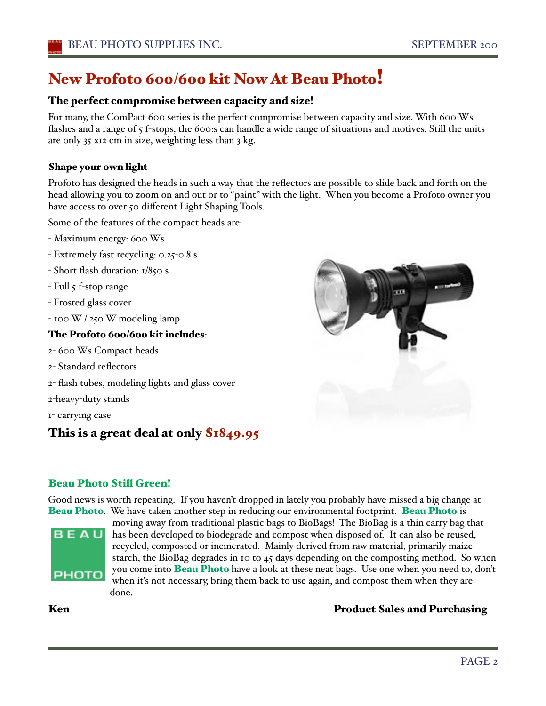# New Profoto 600/600 kit Now At Beau Photo!

### The perfect compromise between capacity and size!

For many, the ComPact 600 series is the perfect compromise between capacity and size. With 600 Ws flashes and a range of 5 f-stops, the 600:s can handle a wide range of situations and motives. Still the units are only 35 x12 cm in size, weighting less than 3 kg.

### Shape your own light

Profoto has designed the heads in such a way that the reflectors are possible to slide back and forth on the head allowing you to zoom on and out or to "paint" with the light. When you become a Profoto owner you have access to over 50 different Light Shaping Tools.

Some of the features of the compact heads are:

- Maximum energy: 600 Ws
- Extremely fast recycling: 0.25-0.8 s
- Short flash duration: 1/850 s
- Full 5 f-stop range
- Frosted glass cover
- 100 W / 250 W modeling lamp

### The Profoto 600/600 kit includes:

- 2- 600 Ws Compact heads
- 2- Standard reflectors
- 2- flash tubes, modeling lights and glass cover
- 2-heavy-duty stands
- 1- carrying case

### This is a great deal at only \$1849.95

### Beau Photo Still Green!

Good news is worth repeating. If you haven't dropped in lately you probably have missed a big change at Beau Photo. We have taken another step in reducing our environmental footprint. Beau Photo is



moving away from traditional plastic bags to BioBags! The BioBag is a thin carry bag that has been developed to biodegrade and compost when disposed of. It can also be reused, recycled, composted or incinerated. Mainly derived from raw material, primarily maize starch, the BioBag degrades in 10 to 45 days depending on the composting method. So when you come into **Beau Photo** have a look at these neat bags. Use one when you need to, don't when it's not necessary, bring them back to use again, and compost them when they are done.

### Ken **Product Sales and Purchasing**

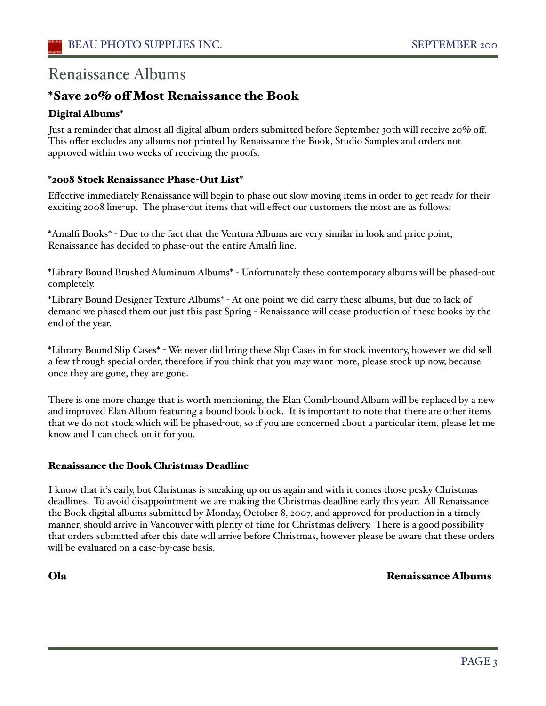## Renaissance Albums

### \*Save 20% off Most Renaissance the Book

### Digital Albums\*

Just a reminder that almost all digital album orders submitted before September 30th will receive 20% off. This offer excludes any albums not printed by Renaissance the Book, Studio Samples and orders not approved within two weeks of receiving the proofs.

### \*2008 Stock Renaissance Phase-Out List\*

Effective immediately Renaissance will begin to phase out slow moving items in order to get ready for their exciting 2008 line-up. The phase-out items that will effect our customers the most are as follows:

\*Amalfi Books\* - Due to the fact that the Ventura Albums are very similar in look and price point, Renaissance has decided to phase-out the entire Amalfi line.

\*Library Bound Brushed Aluminum Albums\* - Unfortunately these contemporary albums will be phased-out completely.

\*Library Bound Designer Texture Albums\* - At one point we did carry these albums, but due to lack of demand we phased them out just this past Spring - Renaissance will cease production of these books by the end of the year.

\*Library Bound Slip Cases\* - We never did bring these Slip Cases in for stock inventory, however we did sell a few through special order, therefore if you think that you may want more, please stock up now, because once they are gone, they are gone.

There is one more change that is worth mentioning, the Elan Comb-bound Album will be replaced by a new and improved Elan Album featuring a bound book block. It is important to note that there are other items that we do not stock which will be phased-out, so if you are concerned about a particular item, please let me know and I can check on it for you.

### Renaissance the Book Christmas Deadline

I know that iťs early, but Christmas is sneaking up on us again and with it comes those pesky Christmas deadlines. To avoid disappointment we are making the Christmas deadline early this year. All Renaissance the Book digital albums submitted by Monday, October 8, 2007, and approved for production in a timely manner, should arrive in Vancouver with plenty of time for Christmas delivery. There is a good possibility that orders submitted after this date will arrive before Christmas, however please be aware that these orders will be evaluated on a case-by-case basis.

### Ola Renaissance Albums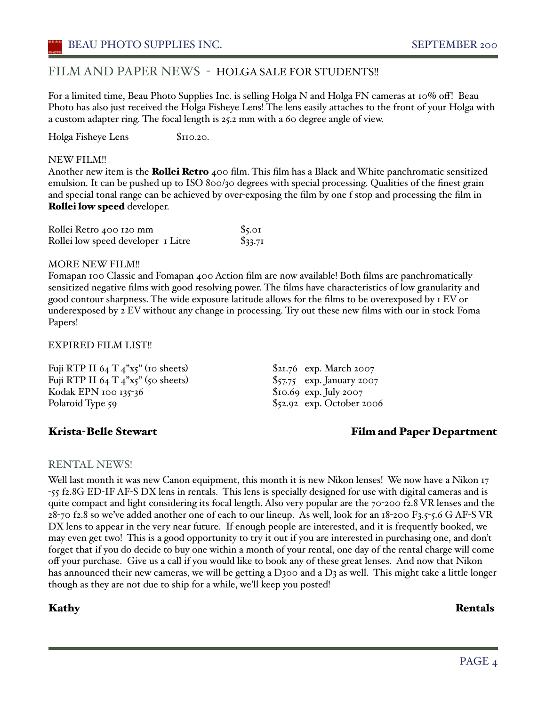### FILM AND PAPER NEWS - HOLGA SALE FOR STUDENTS!!

For a limited time, Beau Photo Supplies Inc. is selling Holga N and Holga FN cameras at 10% off! Beau Photo has also just received the Holga Fisheye Lens! The lens easily attaches to the front of your Holga with a custom adapter ring. The focal length is 25.2 mm with a 60 degree angle of view.

Holga Fisheye Lens \$110.20.

### NEW FILM!!

Another new item is the **Rollei Retro** 400 film. This film has a Black and White panchromatic sensitized emulsion. It can be pushed up to ISO 800/30 degrees with special processing. Qualities of the finest grain and special tonal range can be achieved by over-exposing the film by one f stop and processing the film in Rollei low speed developer.

| Rollei Retro 400 120 mm            | $\frac{6}{5}$ .01 |
|------------------------------------|-------------------|
| Rollei low speed developer I Litre | \$33.71           |

### MORE NEW FILM!!

Fomapan 100 Classic and Fomapan 400 Action film are now available! Both films are panchromatically sensitized negative films with good resolving power. The films have characteristics of low granularity and good contour sharpness. The wide exposure latitude allows for the films to be overexposed by 1 EV or underexposed by 2 EV without any change in processing. Try out these new films with our in stock Foma Papers!

### EXPIRED FILM LIST!!

Fuji RTP II 64 T  $_4$ "x5" (10 sheets) \$21.76 exp. March 2007 Fuji RTP II 64 T  $4$ "x5" (50 sheets) \$57.75 exp. January 2007 Kodak EPN 100 135-36 \$10.69 exp. July 2007 Polaroid Type 59 \$52.92 exp. October 2006

Krista-Belle Stewart Film and Paper Department

### RENTAL NEWS!

Well last month it was new Canon equipment, this month it is new Nikon lenses! We now have a Nikon 17 -55 f2.8G ED-IF AF-S DX lens in rentals. This lens is specially designed for use with digital cameras and is quite compact and light considering its focal length. Also very popular are the 70-200 f2.8 VR lenses and the 28-70 f2.8 so we've added another one of each to our lineup. As well, look for an 18-200 F3.5-5.6 G AF-S VR DX lens to appear in the very near future. If enough people are interested, and it is frequently booked, we may even get two! This is a good opportunity to try it out if you are interested in purchasing one, and don't forget that if you do decide to buy one within a month of your rental, one day of the rental charge will come off your purchase. Give us a call if you would like to book any of these great lenses. And now that Nikon has announced their new cameras, we will be getting a D300 and a D3 as well. This might take a little longer though as they are not due to ship for a while, we'll keep you posted!

Kathy Rentals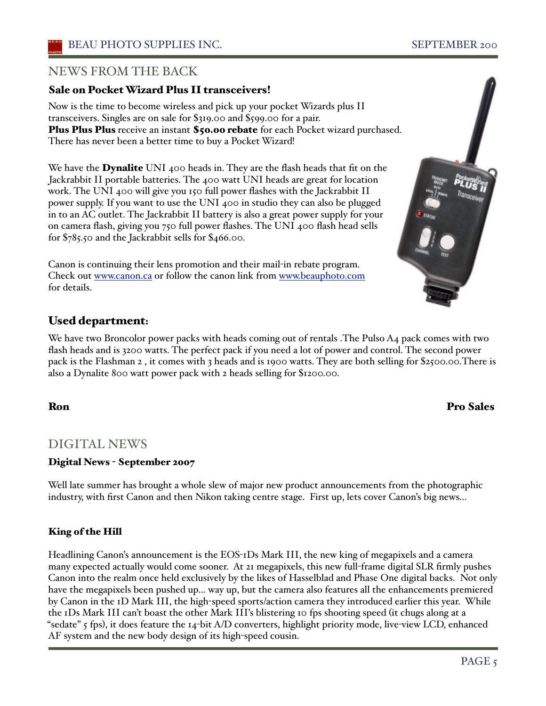### NEWS FROM THE BACK

### Sale on Pocket Wizard Plus II transceivers!

Now is the time to become wireless and pick up your pocket Wizards plus II transceivers. Singles are on sale for \$319.00 and \$599.00 for a pair. Plus Plus Plus receive an instant \$50.00 rebate for each Pocket wizard purchased. There has never been a better time to buy a Pocket Wizard!

We have the **Dynalite** UNI 400 heads in. They are the flash heads that fit on the Jackrabbit II portable batteries. The 400 watt UNI heads are great for location work. The UNI 400 will give you 150 full power flashes with the Jackrabbit II power supply. If you want to use the UNI 400 in studio they can also be plugged in to an AC outlet. The Jackrabbit II battery is also a great power supply for your on camera flash, giving you 750 full power flashes. The UNI 400 flash head sells for \$785.50 and the Jackrabbit sells for \$466.00.

Canon is continuing their lens promotion and their mail-in rebate program. Check out www.canon.ca or follow the canon link from www.beauphoto.com for details.

### Used department:

We have two Broncolor power packs with heads coming out of rentals . The Pulso A4 pack comes with two flash heads and is 3200 watts. The perfect pack if you need a lot of power and control. The second power pack is the Flashman 2 , it comes with 3 heads and is 1900 watts. They are both selling for \$2500.00.There is also a Dynalite 800 watt power pack with 2 heads selling for \$1200.00.

### DIGITAL NEWS

### Digital News - September 2007

Well late summer has brought a whole slew of major new product announcements from the photographic industry, with first Canon and then Nikon taking centre stage. First up, lets cover Canon's big news...

### King of the Hill

Headlining Canon's announcement is the EOS-1Ds Mark III, the new king of megapixels and a camera many expected actually would come sooner. At 21 megapixels, this new full-frame digital SLR firmly pushes Canon into the realm once held exclusively by the likes of Hasselblad and Phase One digital backs. Not only have the megapixels been pushed up... way up, but the camera also features all the enhancements premiered by Canon in the 1D Mark III, the high-speed sports/action camera they introduced earlier this year. While the 1Ds Mark III can't boast the other Mark III's blistering 10 fps shooting speed (it chugs along at a "sedate" 5 fps), it does feature the 14-bit A/D converters, highlight priority mode, live-view LCD, enhanced AF system and the new body design of its high-speed cousin.



### Ron Pro Sales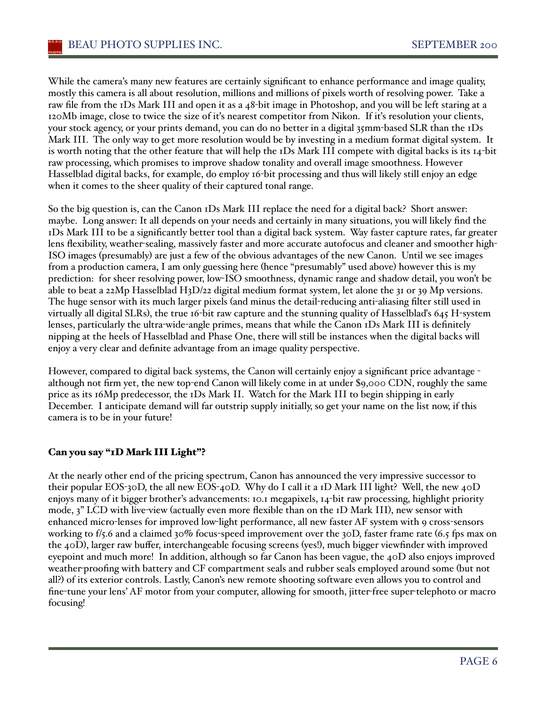While the camera's many new features are certainly significant to enhance performance and image quality, mostly this camera is all about resolution, millions and millions of pixels worth of resolving power. Take a raw file from the 1Ds Mark III and open it as a 48-bit image in Photoshop, and you will be left staring at a 120Mb image, close to twice the size of it's nearest competitor from Nikon. If it's resolution your clients, your stock agency, or your prints demand, you can do no better in a digital 35mm-based SLR than the 1Ds Mark III. The only way to get more resolution would be by investing in a medium format digital system. It is worth noting that the other feature that will help the 1Ds Mark III compete with digital backs is its 14-bit raw processing, which promises to improve shadow tonality and overall image smoothness. However Hasselblad digital backs, for example, do employ 16-bit processing and thus will likely still enjoy an edge when it comes to the sheer quality of their captured tonal range.

So the big question is, can the Canon 1Ds Mark III replace the need for a digital back? Short answer: maybe. Long answer: It all depends on your needs and certainly in many situations, you will likely find the 1Ds Mark III to be a significantly better tool than a digital back system. Way faster capture rates, far greater lens flexibility, weather-sealing, massively faster and more accurate autofocus and cleaner and smoother high-ISO images (presumably) are just a few of the obvious advantages of the new Canon. Until we see images from a production camera, I am only guessing here (hence "presumably" used above) however this is my prediction: for sheer resolving power, low-ISO smoothness, dynamic range and shadow detail, you won't be able to beat a 22Mp Hasselblad H3D/22 digital medium format system, let alone the 31 or 39 Mp versions. The huge sensor with its much larger pixels (and minus the detail-reducing anti-aliasing filter still used in virtually all digital SLRs), the true 16-bit raw capture and the stunning quality of Hasselblaďs 645 H-system lenses, particularly the ultra-wide-angle primes, means that while the Canon 1Ds Mark III is definitely nipping at the heels of Hasselblad and Phase One, there will still be instances when the digital backs will enjoy a very clear and definite advantage from an image quality perspective.

However, compared to digital back systems, the Canon will certainly enjoy a significant price advantage although not firm yet, the new top-end Canon will likely come in at under \$9,000 CDN, roughly the same price as its 16Mp predecessor, the 1Ds Mark II. Watch for the Mark III to begin shipping in early December. I anticipate demand will far outstrip supply initially, so get your name on the list now, if this camera is to be in your future!

### Can you say "1D Mark III Light"?

At the nearly other end of the pricing spectrum, Canon has announced the very impressive successor to their popular EOS-30D, the all new EOS-40D. Why do I call it a 1D Mark III light? Well, the new 40D enjoys many of it bigger brother's advancements: 10.1 megapixels, 14-bit raw processing, highlight priority mode, 3" LCD with live-view (actually even more flexible than on the 1D Mark III), new sensor with enhanced micro-lenses for improved low-light performance, all new faster AF system with 9 cross-sensors working to f/5.6 and a claimed 30% focus-speed improvement over the 30D, faster frame rate (6.5 fps max on the 40D), larger raw buffer, interchangeable focusing screens (yes!), much bigger viewfinder with improved eyepoint and much more! In addition, although so far Canon has been vague, the 40D also enjoys improved weather-proofing with battery and CF compartment seals and rubber seals employed around some (but not all?) of its exterior controls. Lastly, Canon's new remote shooting software even allows you to control and fine-tune your lens' AF motor from your computer, allowing for smooth, jitter-free super-telephoto or macro focusing!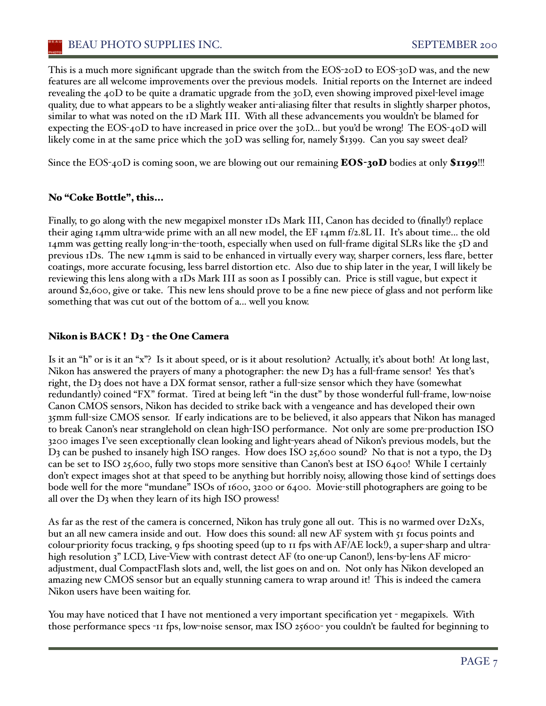### BEAU PHOTO SUPPLIES INC. SEPTEMBER 200

This is a much more significant upgrade than the switch from the EOS-20D to EOS-30D was, and the new features are all welcome improvements over the previous models. Initial reports on the Internet are indeed revealing the 40D to be quite a dramatic upgrade from the 30D, even showing improved pixel-level image quality, due to what appears to be a slightly weaker anti-aliasing filter that results in slightly sharper photos, similar to what was noted on the 1D Mark III. With all these advancements you wouldn't be blamed for expecting the EOS-40D to have increased in price over the 30D... but you'd be wrong! The EOS-40D will likely come in at the same price which the 30D was selling for, namely \$1399. Can you say sweet deal?

Since the EOS-40D is coming soon, we are blowing out our remaining  $EOS-30D$  bodies at only  $$1199$ !!!

### No "Coke Bottle", this...

Finally, to go along with the new megapixel monster 1Ds Mark III, Canon has decided to (finally!) replace their aging 14mm ultra-wide prime with an all new model, the EF 14mm f/2.8L II. Iťs about time... the old 14mm was getting really long-in-the-tooth, especially when used on full-frame digital SLRs like the 5D and previous 1Ds. The new 14mm is said to be enhanced in virtually every way, sharper corners, less flare, better coatings, more accurate focusing, less barrel distortion etc. Also due to ship later in the year, I will likely be reviewing this lens along with a 1Ds Mark III as soon as I possibly can. Price is still vague, but expect it around \$2,600, give or take. This new lens should prove to be a fine new piece of glass and not perform like something that was cut out of the bottom of a... well you know.

### Nikon is BACK! D<sub>3</sub> - the One Camera

Is it an "h" or is it an "x"? Is it about speed, or is it about resolution? Actually, iťs about both! At long last, Nikon has answered the prayers of many a photographer: the new D3 has a full-frame sensor! Yes that's right, the D3 does not have a DX format sensor, rather a full-size sensor which they have (somewhat redundantly) coined "FX" format. Tired at being left "in the dust" by those wonderful full-frame, low-noise Canon CMOS sensors, Nikon has decided to strike back with a vengeance and has developed their own 35mm full-size CMOS sensor. If early indications are to be believed, it also appears that Nikon has managed to break Canon's near stranglehold on clean high-ISO performance. Not only are some pre-production ISO 3200 images I've seen exceptionally clean looking and light-years ahead of Nikon's previous models, but the D<sub>3</sub> can be pushed to insanely high ISO ranges. How does ISO 25,600 sound? No that is not a typo, the D<sub>3</sub> can be set to ISO 25,600, fully two stops more sensitive than Canon's best at ISO 6400! While I certainly don't expect images shot at that speed to be anything but horribly noisy, allowing those kind of settings does bode well for the more "mundane" ISOs of 1600, 3200 or 6400. Movie-still photographers are going to be all over the D3 when they learn of its high ISO prowess!

As far as the rest of the camera is concerned, Nikon has truly gone all out. This is no warmed over  $D2Xs$ , but an all new camera inside and out. How does this sound: all new AF system with 51 focus points and colour-priority focus tracking, 9 fps shooting speed (up to 11 fps with AF/AE lock!), a super-sharp and ultrahigh resolution 3" LCD, Live-View with contrast detect AF (to one-up Canon!), lens-by-lens AF microadjustment, dual CompactFlash slots and, well, the list goes on and on. Not only has Nikon developed an amazing new CMOS sensor but an equally stunning camera to wrap around it! This is indeed the camera Nikon users have been waiting for.

You may have noticed that I have not mentioned a very important specification yet - megapixels. With those performance specs -11 fps, low-noise sensor, max ISO 25600- you couldn't be faulted for beginning to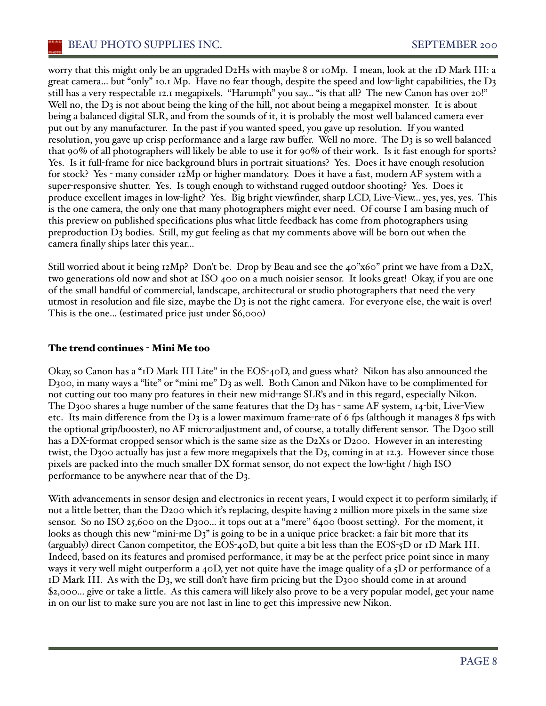worry that this might only be an upgraded D2Hs with maybe 8 or 10Mp. I mean, look at the 1D Mark III: a great camera... but "only" 10.1 Mp. Have no fear though, despite the speed and low-light capabilities, the D3 still has a very respectable 12.1 megapixels. "Harumph" you say... "is that all? The new Canon has over 20!" Well no, the  $D_3$  is not about being the king of the hill, not about being a megapixel monster. It is about being a balanced digital SLR, and from the sounds of it, it is probably the most well balanced camera ever put out by any manufacturer. In the past if you wanted speed, you gave up resolution. If you wanted resolution, you gave up crisp performance and a large raw buffer. Well no more. The  $D_3$  is so well balanced that 90% of all photographers will likely be able to use it for 90% of their work. Is it fast enough for sports? Yes. Is it full-frame for nice background blurs in portrait situations? Yes. Does it have enough resolution for stock? Yes - many consider 12Mp or higher mandatory. Does it have a fast, modern AF system with a super-responsive shutter. Yes. Is tough enough to withstand rugged outdoor shooting? Yes. Does it produce excellent images in low-light? Yes. Big bright viewfinder, sharp LCD, Live-View... yes, yes, yes. This is the one camera, the only one that many photographers might ever need. Of course I am basing much of this preview on published specifications plus what little feedback has come from photographers using preproduction D3 bodies. Still, my gut feeling as that my comments above will be born out when the camera finally ships later this year...

Still worried about it being  $12Mp$ ? Don't be. Drop by Beau and see the 40"x60" print we have from a D2X, two generations old now and shot at ISO 400 on a much noisier sensor. It looks great! Okay, if you are one of the small handful of commercial, landscape, architectural or studio photographers that need the very utmost in resolution and file size, maybe the  $D_3$  is not the right camera. For everyone else, the wait is over! This is the one... (estimated price just under \$6,000)

### The trend continues - Mini Me too

Okay, so Canon has a "1D Mark III Lite" in the EOS-40D, and guess what? Nikon has also announced the D300, in many ways a "lite" or "mini me" D3 as well. Both Canon and Nikon have to be complimented for not cutting out too many pro features in their new mid-range SLR's and in this regard, especially Nikon. The D300 shares a huge number of the same features that the D3 has - same AF system,  $I_4$ -bit, Live-View etc. Its main difference from the  $D_3$  is a lower maximum frame-rate of 6 fps (although it manages 8 fps with the optional grip/booster), no AF micro-adjustment and, of course, a totally different sensor. The D300 still has a DX-format cropped sensor which is the same size as the D2Xs or D200. However in an interesting twist, the D300 actually has just a few more megapixels that the D3, coming in at 12.3. However since those pixels are packed into the much smaller DX format sensor, do not expect the low-light / high ISO performance to be anywhere near that of the D3.

With advancements in sensor design and electronics in recent years, I would expect it to perform similarly, if not a little better, than the D200 which it's replacing, despite having 2 million more pixels in the same size sensor. So no ISO 25,600 on the D300... it tops out at a "mere" 6400 (boost setting). For the moment, it looks as though this new "mini-me  $D_3$ " is going to be in a unique price bracket: a fair bit more that its (arguably) direct Canon competitor, the EOS-40D, but quite a bit less than the EOS-5D or 1D Mark III. Indeed, based on its features and promised performance, it may be at the perfect price point since in many ways it very well might outperform a 40D, yet not quite have the image quality of a 5D or performance of a  $1D$  Mark III. As with the D<sub>3</sub>, we still don't have firm pricing but the D<sub>3</sub>00 should come in at around \$2,000... give or take a little. As this camera will likely also prove to be a very popular model, get your name in on our list to make sure you are not last in line to get this impressive new Nikon.